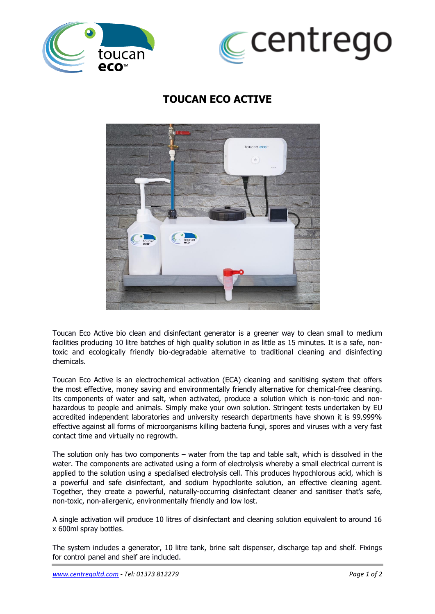



## **TOUCAN ECO ACTIVE**



Toucan Eco Active bio clean and disinfectant generator is a greener way to clean small to medium facilities producing 10 litre batches of high quality solution in as little as 15 minutes. It is a safe, nontoxic and ecologically friendly bio-degradable alternative to traditional cleaning and disinfecting chemicals.

Toucan Eco Active is an electrochemical activation (ECA) cleaning and sanitising system that offers the most effective, money saving and environmentally friendly alternative for chemical-free cleaning. Its components of water and salt, when activated, produce a solution which is non-toxic and nonhazardous to people and animals. Simply make your own solution. Stringent tests undertaken by EU accredited independent laboratories and university research departments have shown it is 99.999% effective against all forms of microorganisms killing bacteria fungi, spores and viruses with a very fast contact time and virtually no regrowth.

The solution only has two components – water from the tap and table salt, which is dissolved in the water. The components are activated using a form of electrolysis whereby a small electrical current is applied to the solution using a specialised electrolysis cell. This produces hypochlorous acid, which is a powerful and safe disinfectant, and sodium hypochlorite solution, an effective cleaning agent. Together, they create a powerful, naturally-occurring disinfectant cleaner and sanitiser that's safe, non-toxic, non-allergenic, environmentally friendly and low lost.

A single activation will produce 10 litres of disinfectant and cleaning solution equivalent to around 16 x 600ml spray bottles.

The system includes a generator, 10 litre tank, brine salt dispenser, discharge tap and shelf. Fixings for control panel and shelf are included.